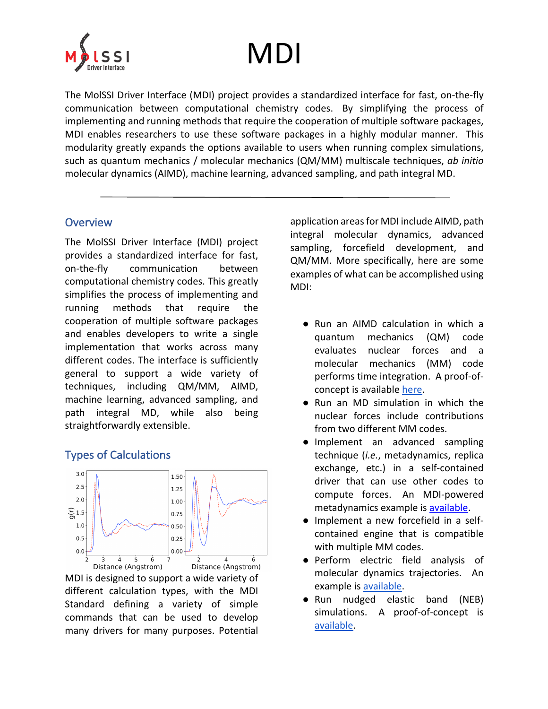

## MDI

The MolSSI Driver Interface (MDI) project provides a standardized interface for fast, on-the-fly communication between computational chemistry codes. By simplifying the process of implementing and running methods that require the cooperation of multiple software packages, MDI enables researchers to use these software packages in a highly modular manner. This modularity greatly expands the options available to users when running complex simulations, such as quantum mechanics / molecular mechanics (QM/MM) multiscale techniques, *ab initio* molecular dynamics (AIMD), machine learning, advanced sampling, and path integral MD.

## **Overview**

The MolSSI Driver Interface (MDI) project provides a standardized interface for fast, on-the-fly communication between computational chemistry codes. This greatly simplifies the process of implementing and running methods that require the cooperation of multiple software packages and enables developers to write a single implementation that works across many different codes. The interface is sufficiently general to support a wide variety of techniques, including QM/MM, AIMD, machine learning, advanced sampling, and path integral MD, while also being straightforwardly extensible.

## Types of Calculations



MDI is designed to support a wide variety of different calculation types, with the MDI Standard defining a variety of simple commands that can be used to develop many drivers for many purposes. Potential application areas for MDI include AIMD, path integral molecular dynamics, advanced sampling, forcefield development, and QM/MM. More specifically, here are some examples of what can be accomplished using MDI:

- Run an AIMD calculation in which a quantum mechanics (QM) code evaluates nuclear forces and a molecular mechanics (MM) code performs time integration. A proof-ofconcept is available here.
- Run an MD simulation in which the nuclear forces include contributions from two different MM codes.
- Implement an advanced sampling technique (*i.e.*, metadynamics, replica exchange, etc.) in a self-contained driver that can use other codes to compute forces. An MDI-powered metadynamics example is available.
- Implement a new forcefield in a selfcontained engine that is compatible with multiple MM codes.
- Perform electric field analysis of molecular dynamics trajectories. An example is available.
- Run nudged elastic band (NEB) simulations. A proof-of-concept is available.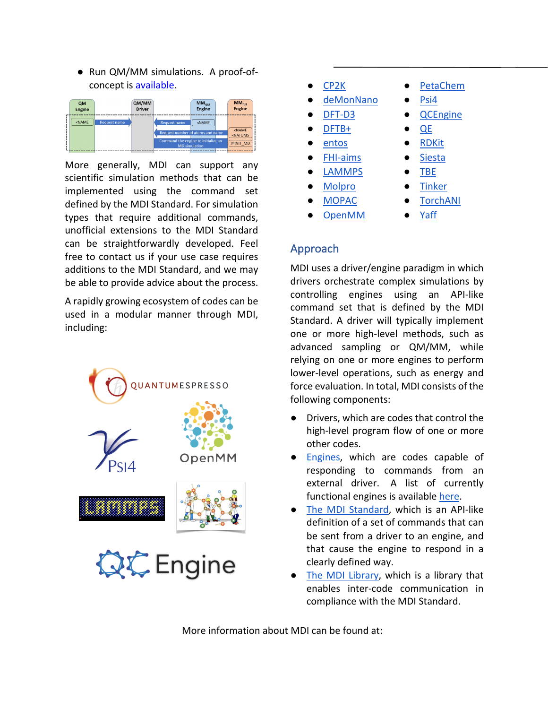● Run QM/MM simulations. A proof-ofconcept is available.



More generally, MDI can support any scientific simulation methods that can be implemented using the command set defined by the MDI Standard. For simulation types that require additional commands, unofficial extensions to the MDI Standard can be straightforwardly developed. Feel free to contact us if your use case requires additions to the MDI Standard, and we may be able to provide advice about the process.

A rapidly growing ecosystem of codes can be used in a modular manner through MDI, including:



- CP2K PetaChem
- deMonNano · Psi4
- 
- 
- entos RDKit
- FHI-aims Siesta
- LAMMPS TBE
- 
- 
- 
- 
- DFT-D3 QCEngine
- DFTB+ QE
	-
	-
	-
- Molpro **•** Tinker
- 
- OpenMM Yaff
- MOPAC TorchANI
	-

## Approach

MDI uses a driver/engine paradigm in which drivers orchestrate complex simulations by controlling engines using an API-like command set that is defined by the MDI Standard. A driver will typically implement one or more high-level methods, such as advanced sampling or QM/MM, while relying on one or more engines to perform lower-level operations, such as energy and force evaluation. In total, MDI consists of the following components:

- Drivers, which are codes that control the high-level program flow of one or more other codes.
- Engines, which are codes capable of responding to commands from an external driver. A list of currently functional engines is available here.
- The MDI Standard, which is an API-like definition of a set of commands that can be sent from a driver to an engine, and that cause the engine to respond in a clearly defined way.
- The MDI Library, which is a library that enables inter-code communication in compliance with the MDI Standard.

More information about MDI can be found at: